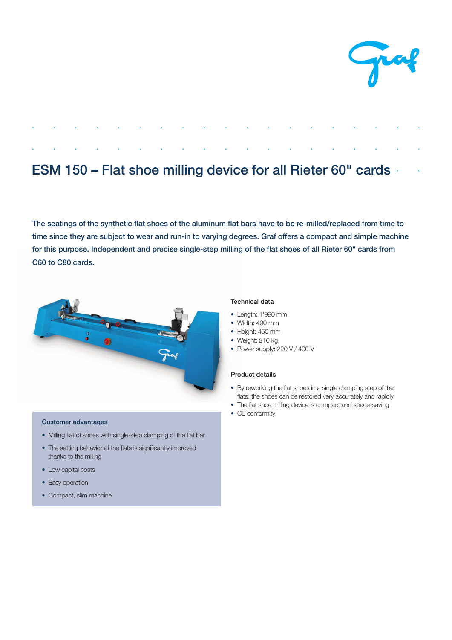

# ESM 150 – Flat shoe milling device for all Rieter 60" cards

The seatings of the synthetic flat shoes of the aluminum flat bars have to be re-milled/replaced from time to time since they are subject to wear and run-in to varying degrees. Graf offers a compact and simple machine for this purpose. Independent and precise single-step milling of the flat shoes of all Rieter 60" cards from C60 to C80 cards.



### Technical data

- Length: 1'990 mm
- Width: 490 mm
- Height: 450 mm
- Weight: 210 kg
- Power supply: 220 V / 400 V

### Product details

- By reworking the flat shoes in a single clamping step of the flats, the shoes can be restored very accurately and rapidly
- The flat shoe milling device is compact and space-saving
- CE conformity

#### Customer advantages

- Milling flat of shoes with single-step clamping of the flat bar
- The setting behavior of the flats is significantly improved thanks to the milling
- Low capital costs
- Easy operation
- Compact, slim machine